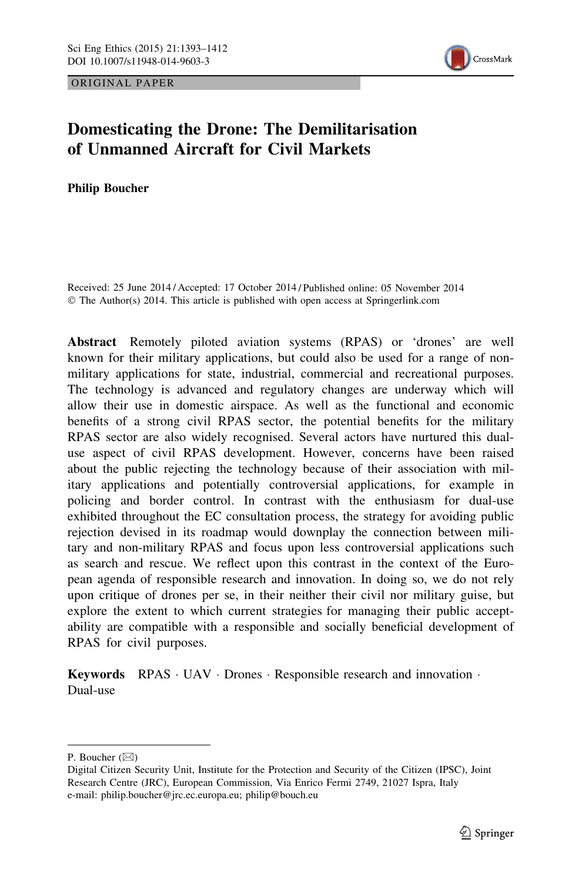ORIGINAL PAPER



# Domesticating the Drone: The Demilitarisation of Unmanned Aircraft for Civil Markets

Philip Boucher

Received: 25 June 2014 / Accepted: 17 October 2014 / Published online: 05 November 2014© The Author(s) 2014. This article is published with open access at Springerlink.com

Abstract Remotely piloted aviation systems (RPAS) or 'drones' are well known for their military applications, but could also be used for a range of nonmilitary applications for state, industrial, commercial and recreational purposes. The technology is advanced and regulatory changes are underway which will allow their use in domestic airspace. As well as the functional and economic benefits of a strong civil RPAS sector, the potential benefits for the military RPAS sector are also widely recognised. Several actors have nurtured this dualuse aspect of civil RPAS development. However, concerns have been raised about the public rejecting the technology because of their association with military applications and potentially controversial applications, for example in policing and border control. In contrast with the enthusiasm for dual-use exhibited throughout the EC consultation process, the strategy for avoiding public rejection devised in its roadmap would downplay the connection between military and non-military RPAS and focus upon less controversial applications such as search and rescue. We reflect upon this contrast in the context of the European agenda of responsible research and innovation. In doing so, we do not rely upon critique of drones per se, in their neither their civil nor military guise, but explore the extent to which current strategies for managing their public acceptability are compatible with a responsible and socially beneficial development of RPAS for civil purposes.

Keywords RPAS · UAV · Drones · Responsible research and innovation · Dual-use

P. Boucher  $(\boxtimes)$ 

Digital Citizen Security Unit, Institute for the Protection and Security of the Citizen (IPSC), Joint Research Centre (JRC), European Commission, Via Enrico Fermi 2749, 21027 Ispra, Italy e-mail: philip.boucher@jrc.ec.europa.eu; philip@bouch.eu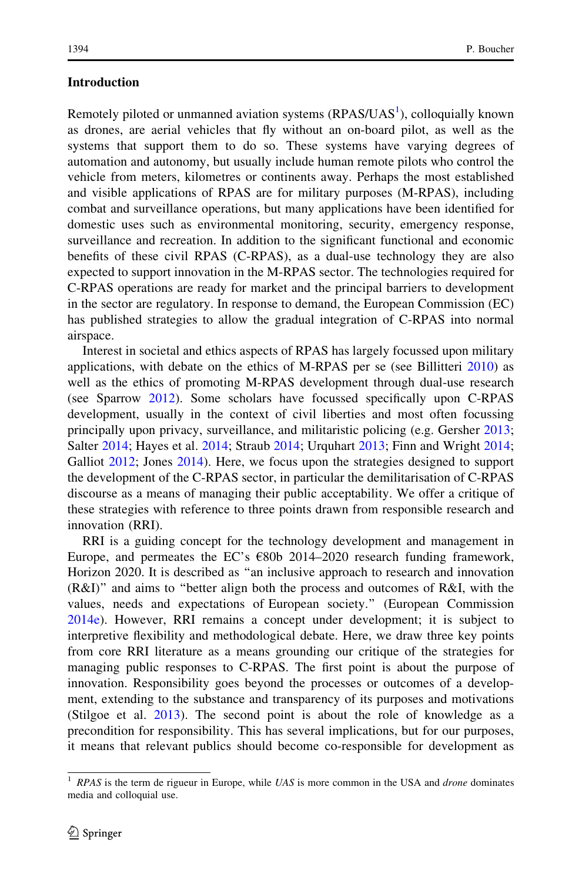## Introduction

Remotely piloted or unmanned aviation systems (RPAS/UAS<sup>1</sup>), colloquially known as drones, are aerial vehicles that fly without an on-board pilot, as well as the systems that support them to do so. These systems have varying degrees of automation and autonomy, but usually include human remote pilots who control the vehicle from meters, kilometres or continents away. Perhaps the most established and visible applications of RPAS are for military purposes (M-RPAS), including combat and surveillance operations, but many applications have been identified for domestic uses such as environmental monitoring, security, emergency response, surveillance and recreation. In addition to the significant functional and economic benefits of these civil RPAS (C-RPAS), as a dual-use technology they are also expected to support innovation in the M-RPAS sector. The technologies required for C-RPAS operations are ready for market and the principal barriers to development in the sector are regulatory. In response to demand, the European Commission (EC) has published strategies to allow the gradual integration of C-RPAS into normal airspace.

Interest in societal and ethics aspects of RPAS has largely focussed upon military applications, with debate on the ethics of M-RPAS per se (see Billitteri [2010\)](#page-17-0) as well as the ethics of promoting M-RPAS development through dual-use research (see Sparrow [2012](#page-19-0)). Some scholars have focussed specifically upon C-RPAS development, usually in the context of civil liberties and most often focussing principally upon privacy, surveillance, and militaristic policing (e.g. Gersher [2013;](#page-19-0) Salter [2014](#page-19-0); Hayes et al. [2014;](#page-19-0) Straub [2014;](#page-19-0) Urquhart [2013;](#page-19-0) Finn and Wright [2014;](#page-18-0) Galliot [2012](#page-18-0); Jones [2014\)](#page-19-0). Here, we focus upon the strategies designed to support the development of the C-RPAS sector, in particular the demilitarisation of C-RPAS discourse as a means of managing their public acceptability. We offer a critique of these strategies with reference to three points drawn from responsible research and innovation (RRI).

RRI is a guiding concept for the technology development and management in Europe, and permeates the EC's  $\epsilon$ 80b 2014–2020 research funding framework, Horizon 2020. It is described as ''an inclusive approach to research and innovation (R&I)'' and aims to ''better align both the process and outcomes of R&I, with the values, needs and expectations of European society.'' (European Commission [2014e](#page-18-0)). However, RRI remains a concept under development; it is subject to interpretive flexibility and methodological debate. Here, we draw three key points from core RRI literature as a means grounding our critique of the strategies for managing public responses to C-RPAS. The first point is about the purpose of innovation. Responsibility goes beyond the processes or outcomes of a development, extending to the substance and transparency of its purposes and motivations (Stilgoe et al. [2013](#page-19-0)). The second point is about the role of knowledge as a precondition for responsibility. This has several implications, but for our purposes, it means that relevant publics should become co-responsible for development as

 $1$  RPAS is the term de rigueur in Europe, while UAS is more common in the USA and *drone* dominates media and colloquial use.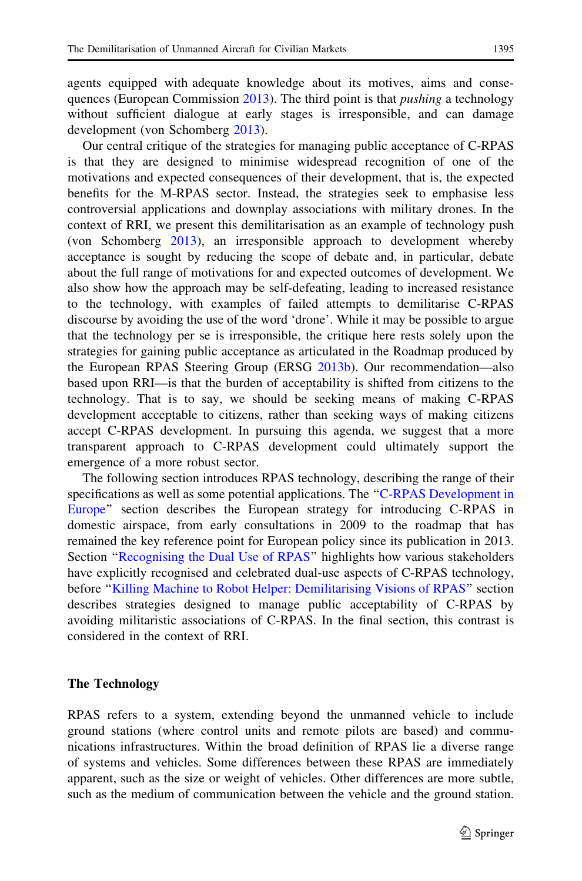agents equipped with adequate knowledge about its motives, aims and conse-quences (European Commission [2013\)](#page-18-0). The third point is that *pushing* a technology without sufficient dialogue at early stages is irresponsible, and can damage development (von Schomberg [2013\)](#page-19-0).

Our central critique of the strategies for managing public acceptance of C-RPAS is that they are designed to minimise widespread recognition of one of the motivations and expected consequences of their development, that is, the expected benefits for the M-RPAS sector. Instead, the strategies seek to emphasise less controversial applications and downplay associations with military drones. In the context of RRI, we present this demilitarisation as an example of technology push (von Schomberg [2013\)](#page-19-0), an irresponsible approach to development whereby acceptance is sought by reducing the scope of debate and, in particular, debate about the full range of motivations for and expected outcomes of development. We also show how the approach may be self-defeating, leading to increased resistance to the technology, with examples of failed attempts to demilitarise C-RPAS discourse by avoiding the use of the word 'drone'. While it may be possible to argue that the technology per se is irresponsible, the critique here rests solely upon the strategies for gaining public acceptance as articulated in the Roadmap produced by the European RPAS Steering Group (ERSG [2013b\)](#page-18-0). Our recommendation—also based upon RRI—is that the burden of acceptability is shifted from citizens to the technology. That is to say, we should be seeking means of making C-RPAS development acceptable to citizens, rather than seeking ways of making citizens accept C-RPAS development. In pursuing this agenda, we suggest that a more transparent approach to C-RPAS development could ultimately support the emergence of a more robust sector.

The following section introduces RPAS technology, describing the range of their specifications as well as some potential applications. The "[C-RPAS Development in](#page-5-0) [Europe'](#page-5-0)' section describes the European strategy for introducing C-RPAS in domestic airspace, from early consultations in 2009 to the roadmap that has remained the key reference point for European policy since its publication in 2013. Section "Recognising the Dual Use of RPAS" highlights how various stakeholders have explicitly recognised and celebrated dual-use aspects of C-RPAS technology, before ''[Killing Machine to Robot Helper: Demilitarising Visions of RPAS'](#page-13-0)' section describes strategies designed to manage public acceptability of C-RPAS by avoiding militaristic associations of C-RPAS. In the final section, this contrast is considered in the context of RRI.

## The Technology

RPAS refers to a system, extending beyond the unmanned vehicle to include ground stations (where control units and remote pilots are based) and communications infrastructures. Within the broad definition of RPAS lie a diverse range of systems and vehicles. Some differences between these RPAS are immediately apparent, such as the size or weight of vehicles. Other differences are more subtle, such as the medium of communication between the vehicle and the ground station.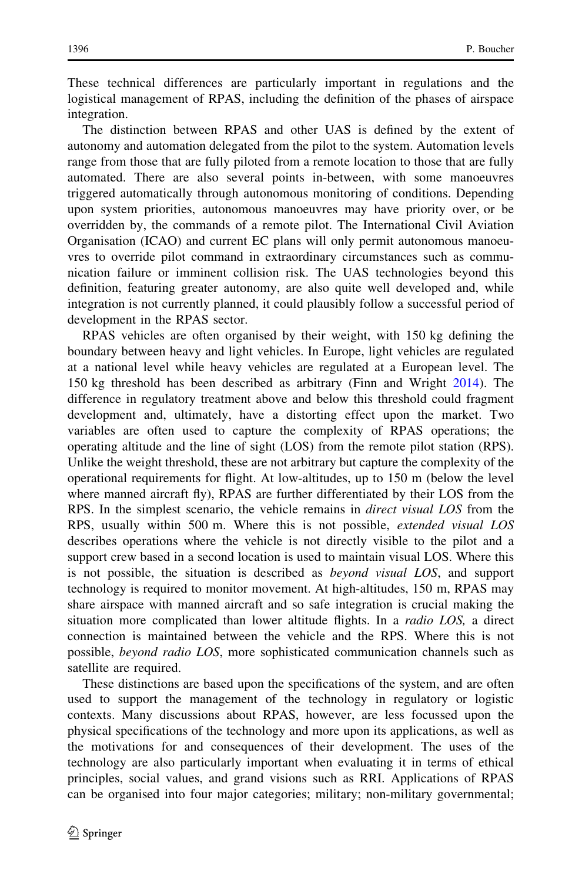These technical differences are particularly important in regulations and the logistical management of RPAS, including the definition of the phases of airspace integration.

The distinction between RPAS and other UAS is defined by the extent of autonomy and automation delegated from the pilot to the system. Automation levels range from those that are fully piloted from a remote location to those that are fully automated. There are also several points in-between, with some manoeuvres triggered automatically through autonomous monitoring of conditions. Depending upon system priorities, autonomous manoeuvres may have priority over, or be overridden by, the commands of a remote pilot. The International Civil Aviation Organisation (ICAO) and current EC plans will only permit autonomous manoeuvres to override pilot command in extraordinary circumstances such as communication failure or imminent collision risk. The UAS technologies beyond this definition, featuring greater autonomy, are also quite well developed and, while integration is not currently planned, it could plausibly follow a successful period of development in the RPAS sector.

RPAS vehicles are often organised by their weight, with 150 kg defining the boundary between heavy and light vehicles. In Europe, light vehicles are regulated at a national level while heavy vehicles are regulated at a European level. The 150 kg threshold has been described as arbitrary (Finn and Wright [2014](#page-18-0)). The difference in regulatory treatment above and below this threshold could fragment development and, ultimately, have a distorting effect upon the market. Two variables are often used to capture the complexity of RPAS operations; the operating altitude and the line of sight (LOS) from the remote pilot station (RPS). Unlike the weight threshold, these are not arbitrary but capture the complexity of the operational requirements for flight. At low-altitudes, up to 150 m (below the level where manned aircraft fly), RPAS are further differentiated by their LOS from the RPS. In the simplest scenario, the vehicle remains in *direct visual LOS* from the RPS, usually within 500 m. Where this is not possible, *extended visual LOS* describes operations where the vehicle is not directly visible to the pilot and a support crew based in a second location is used to maintain visual LOS. Where this is not possible, the situation is described as beyond visual LOS, and support technology is required to monitor movement. At high-altitudes, 150 m, RPAS may share airspace with manned aircraft and so safe integration is crucial making the situation more complicated than lower altitude flights. In a radio LOS, a direct connection is maintained between the vehicle and the RPS. Where this is not possible, beyond radio LOS, more sophisticated communication channels such as satellite are required.

These distinctions are based upon the specifications of the system, and are often used to support the management of the technology in regulatory or logistic contexts. Many discussions about RPAS, however, are less focussed upon the physical specifications of the technology and more upon its applications, as well as the motivations for and consequences of their development. The uses of the technology are also particularly important when evaluating it in terms of ethical principles, social values, and grand visions such as RRI. Applications of RPAS can be organised into four major categories; military; non-military governmental;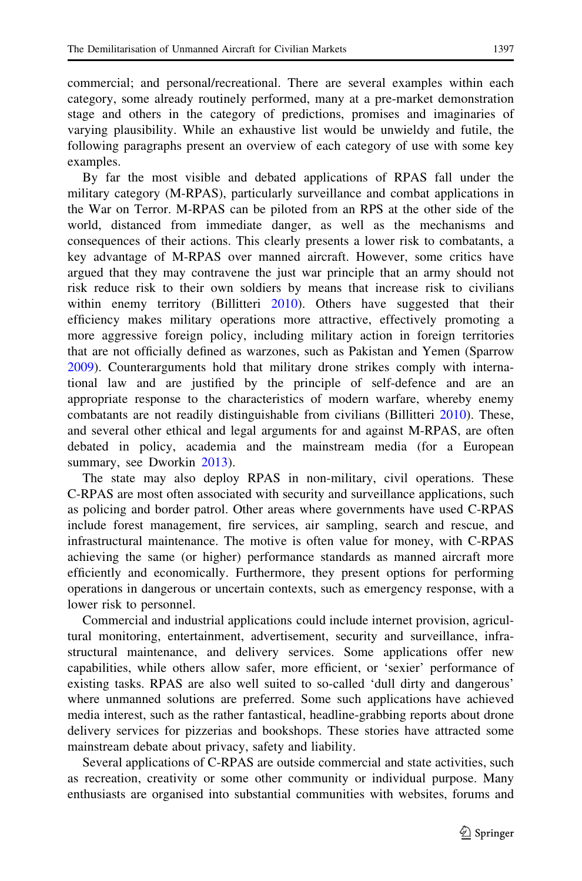commercial; and personal/recreational. There are several examples within each category, some already routinely performed, many at a pre-market demonstration stage and others in the category of predictions, promises and imaginaries of varying plausibility. While an exhaustive list would be unwieldy and futile, the following paragraphs present an overview of each category of use with some key examples.

By far the most visible and debated applications of RPAS fall under the military category (M-RPAS), particularly surveillance and combat applications in the War on Terror. M-RPAS can be piloted from an RPS at the other side of the world, distanced from immediate danger, as well as the mechanisms and consequences of their actions. This clearly presents a lower risk to combatants, a key advantage of M-RPAS over manned aircraft. However, some critics have argued that they may contravene the just war principle that an army should not risk reduce risk to their own soldiers by means that increase risk to civilians within enemy territory (Billitteri [2010\)](#page-17-0). Others have suggested that their efficiency makes military operations more attractive, effectively promoting a more aggressive foreign policy, including military action in foreign territories that are not officially defined as warzones, such as Pakistan and Yemen (Sparrow [2009\)](#page-19-0). Counterarguments hold that military drone strikes comply with international law and are justified by the principle of self-defence and are an appropriate response to the characteristics of modern warfare, whereby enemy combatants are not readily distinguishable from civilians (Billitteri [2010](#page-17-0)). These, and several other ethical and legal arguments for and against M-RPAS, are often debated in policy, academia and the mainstream media (for a European summary, see Dworkin [2013](#page-18-0)).

The state may also deploy RPAS in non-military, civil operations. These C-RPAS are most often associated with security and surveillance applications, such as policing and border patrol. Other areas where governments have used C-RPAS include forest management, fire services, air sampling, search and rescue, and infrastructural maintenance. The motive is often value for money, with C-RPAS achieving the same (or higher) performance standards as manned aircraft more efficiently and economically. Furthermore, they present options for performing operations in dangerous or uncertain contexts, such as emergency response, with a lower risk to personnel.

Commercial and industrial applications could include internet provision, agricultural monitoring, entertainment, advertisement, security and surveillance, infrastructural maintenance, and delivery services. Some applications offer new capabilities, while others allow safer, more efficient, or 'sexier' performance of existing tasks. RPAS are also well suited to so-called 'dull dirty and dangerous' where unmanned solutions are preferred. Some such applications have achieved media interest, such as the rather fantastical, headline-grabbing reports about drone delivery services for pizzerias and bookshops. These stories have attracted some mainstream debate about privacy, safety and liability.

Several applications of C-RPAS are outside commercial and state activities, such as recreation, creativity or some other community or individual purpose. Many enthusiasts are organised into substantial communities with websites, forums and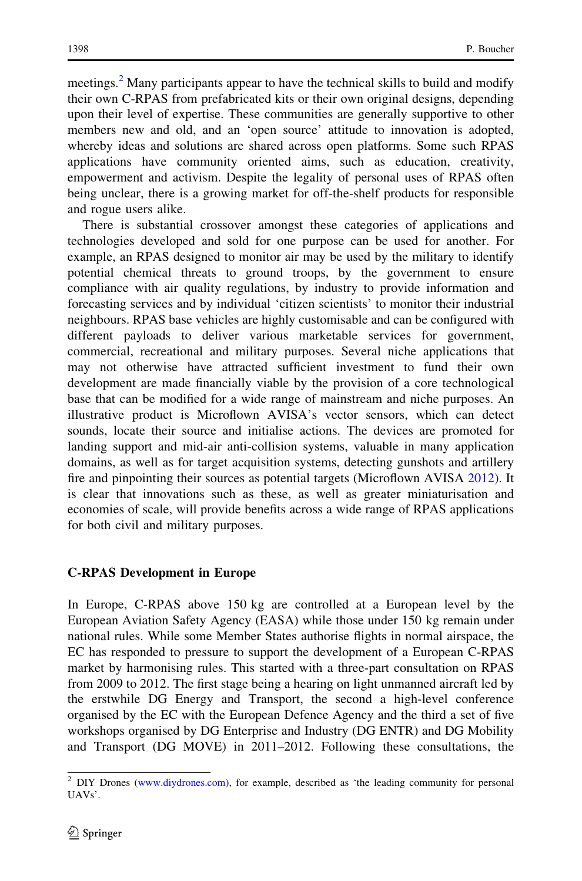<span id="page-5-0"></span>meetings.<sup>2</sup> Many participants appear to have the technical skills to build and modify their own C-RPAS from prefabricated kits or their own original designs, depending upon their level of expertise. These communities are generally supportive to other members new and old, and an 'open source' attitude to innovation is adopted, whereby ideas and solutions are shared across open platforms. Some such RPAS applications have community oriented aims, such as education, creativity, empowerment and activism. Despite the legality of personal uses of RPAS often being unclear, there is a growing market for off-the-shelf products for responsible and rogue users alike.

There is substantial crossover amongst these categories of applications and technologies developed and sold for one purpose can be used for another. For example, an RPAS designed to monitor air may be used by the military to identify potential chemical threats to ground troops, by the government to ensure compliance with air quality regulations, by industry to provide information and forecasting services and by individual 'citizen scientists' to monitor their industrial neighbours. RPAS base vehicles are highly customisable and can be configured with different payloads to deliver various marketable services for government, commercial, recreational and military purposes. Several niche applications that may not otherwise have attracted sufficient investment to fund their own development are made financially viable by the provision of a core technological base that can be modified for a wide range of mainstream and niche purposes. An illustrative product is Microflown AVISA's vector sensors, which can detect sounds, locate their source and initialise actions. The devices are promoted for landing support and mid-air anti-collision systems, valuable in many application domains, as well as for target acquisition systems, detecting gunshots and artillery fire and pinpointing their sources as potential targets (Microflown AVISA [2012](#page-19-0)). It is clear that innovations such as these, as well as greater miniaturisation and economies of scale, will provide benefits across a wide range of RPAS applications for both civil and military purposes.

# C-RPAS Development in Europe

In Europe, C-RPAS above 150 kg are controlled at a European level by the European Aviation Safety Agency (EASA) while those under 150 kg remain under national rules. While some Member States authorise flights in normal airspace, the EC has responded to pressure to support the development of a European C-RPAS market by harmonising rules. This started with a three-part consultation on RPAS from 2009 to 2012. The first stage being a hearing on light unmanned aircraft led by the erstwhile DG Energy and Transport, the second a high-level conference organised by the EC with the European Defence Agency and the third a set of five workshops organised by DG Enterprise and Industry (DG ENTR) and DG Mobility and Transport (DG MOVE) in 2011–2012. Following these consultations, the

<sup>&</sup>lt;sup>2</sup> DIY Drones [\(www.diydrones.com](http://www.diydrones.com)), for example, described as 'the leading community for personal UAVs'.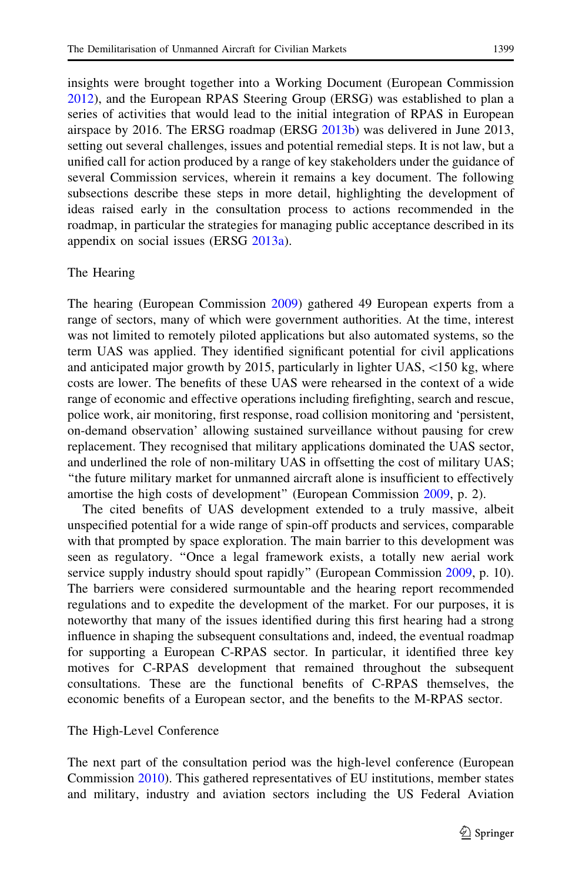insights were brought together into a Working Document (European Commission [2012\)](#page-18-0), and the European RPAS Steering Group (ERSG) was established to plan a series of activities that would lead to the initial integration of RPAS in European airspace by 2016. The ERSG roadmap (ERSG [2013b](#page-18-0)) was delivered in June 2013, setting out several challenges, issues and potential remedial steps. It is not law, but a unified call for action produced by a range of key stakeholders under the guidance of several Commission services, wherein it remains a key document. The following subsections describe these steps in more detail, highlighting the development of ideas raised early in the consultation process to actions recommended in the roadmap, in particular the strategies for managing public acceptance described in its appendix on social issues (ERSG [2013a\)](#page-18-0).

# The Hearing

The hearing (European Commission [2009](#page-18-0)) gathered 49 European experts from a range of sectors, many of which were government authorities. At the time, interest was not limited to remotely piloted applications but also automated systems, so the term UAS was applied. They identified significant potential for civil applications and anticipated major growth by 2015, particularly in lighter UAS,  $\langle$ 150 kg, where costs are lower. The benefits of these UAS were rehearsed in the context of a wide range of economic and effective operations including firefighting, search and rescue, police work, air monitoring, first response, road collision monitoring and 'persistent, on-demand observation' allowing sustained surveillance without pausing for crew replacement. They recognised that military applications dominated the UAS sector, and underlined the role of non-military UAS in offsetting the cost of military UAS; ''the future military market for unmanned aircraft alone is insufficient to effectively amortise the high costs of development'' (European Commission [2009,](#page-18-0) p. 2).

The cited benefits of UAS development extended to a truly massive, albeit unspecified potential for a wide range of spin-off products and services, comparable with that prompted by space exploration. The main barrier to this development was seen as regulatory. ''Once a legal framework exists, a totally new aerial work service supply industry should spout rapidly'' (European Commission [2009,](#page-18-0) p. 10). The barriers were considered surmountable and the hearing report recommended regulations and to expedite the development of the market. For our purposes, it is noteworthy that many of the issues identified during this first hearing had a strong influence in shaping the subsequent consultations and, indeed, the eventual roadmap for supporting a European C-RPAS sector. In particular, it identified three key motives for C-RPAS development that remained throughout the subsequent consultations. These are the functional benefits of C-RPAS themselves, the economic benefits of a European sector, and the benefits to the M-RPAS sector.

# The High-Level Conference

The next part of the consultation period was the high-level conference (European Commission [2010](#page-18-0)). This gathered representatives of EU institutions, member states and military, industry and aviation sectors including the US Federal Aviation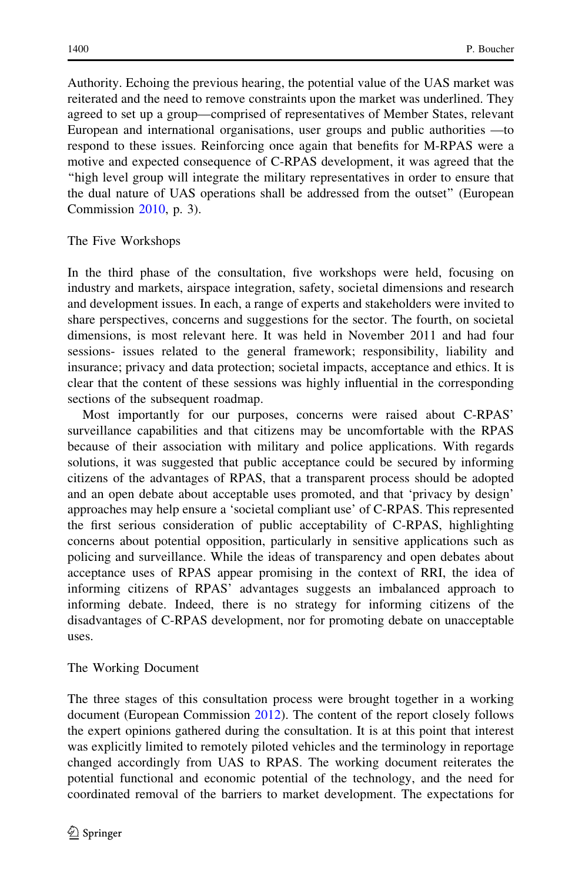Authority. Echoing the previous hearing, the potential value of the UAS market was reiterated and the need to remove constraints upon the market was underlined. They agreed to set up a group—comprised of representatives of Member States, relevant European and international organisations, user groups and public authorities —to respond to these issues. Reinforcing once again that benefits for M-RPAS were a motive and expected consequence of C-RPAS development, it was agreed that the ''high level group will integrate the military representatives in order to ensure that the dual nature of UAS operations shall be addressed from the outset'' (European Commission [2010,](#page-18-0) p. 3).

The Five Workshops

In the third phase of the consultation, five workshops were held, focusing on industry and markets, airspace integration, safety, societal dimensions and research and development issues. In each, a range of experts and stakeholders were invited to share perspectives, concerns and suggestions for the sector. The fourth, on societal dimensions, is most relevant here. It was held in November 2011 and had four sessions- issues related to the general framework; responsibility, liability and insurance; privacy and data protection; societal impacts, acceptance and ethics. It is clear that the content of these sessions was highly influential in the corresponding sections of the subsequent roadmap.

Most importantly for our purposes, concerns were raised about C-RPAS' surveillance capabilities and that citizens may be uncomfortable with the RPAS because of their association with military and police applications. With regards solutions, it was suggested that public acceptance could be secured by informing citizens of the advantages of RPAS, that a transparent process should be adopted and an open debate about acceptable uses promoted, and that 'privacy by design' approaches may help ensure a 'societal compliant use' of C-RPAS. This represented the first serious consideration of public acceptability of C-RPAS, highlighting concerns about potential opposition, particularly in sensitive applications such as policing and surveillance. While the ideas of transparency and open debates about acceptance uses of RPAS appear promising in the context of RRI, the idea of informing citizens of RPAS' advantages suggests an imbalanced approach to informing debate. Indeed, there is no strategy for informing citizens of the disadvantages of C-RPAS development, nor for promoting debate on unacceptable uses.

## The Working Document

The three stages of this consultation process were brought together in a working document (European Commission [2012](#page-18-0)). The content of the report closely follows the expert opinions gathered during the consultation. It is at this point that interest was explicitly limited to remotely piloted vehicles and the terminology in reportage changed accordingly from UAS to RPAS. The working document reiterates the potential functional and economic potential of the technology, and the need for coordinated removal of the barriers to market development. The expectations for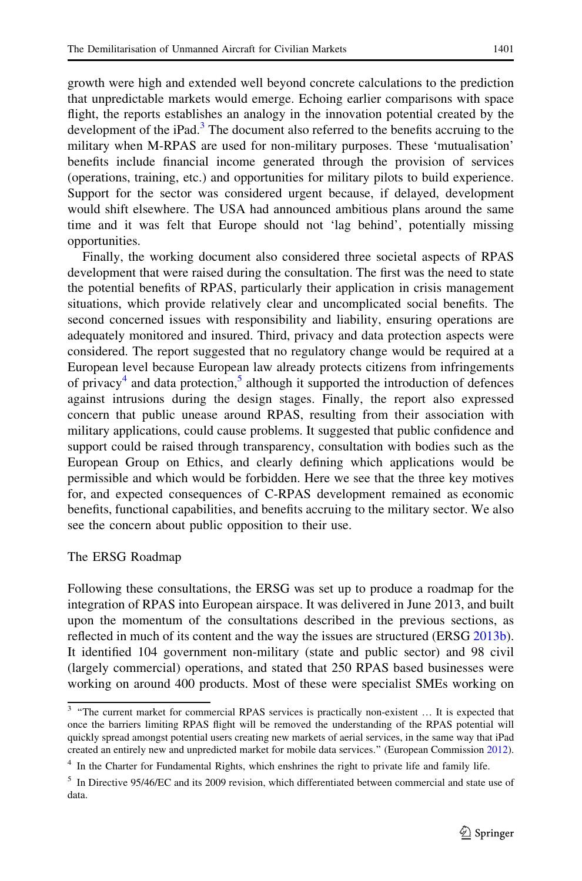growth were high and extended well beyond concrete calculations to the prediction that unpredictable markets would emerge. Echoing earlier comparisons with space flight, the reports establishes an analogy in the innovation potential created by the development of the iPad.<sup>3</sup> The document also referred to the benefits accruing to the military when M-RPAS are used for non-military purposes. These 'mutualisation' benefits include financial income generated through the provision of services (operations, training, etc.) and opportunities for military pilots to build experience. Support for the sector was considered urgent because, if delayed, development would shift elsewhere. The USA had announced ambitious plans around the same time and it was felt that Europe should not 'lag behind', potentially missing opportunities.

Finally, the working document also considered three societal aspects of RPAS development that were raised during the consultation. The first was the need to state the potential benefits of RPAS, particularly their application in crisis management situations, which provide relatively clear and uncomplicated social benefits. The second concerned issues with responsibility and liability, ensuring operations are adequately monitored and insured. Third, privacy and data protection aspects were considered. The report suggested that no regulatory change would be required at a European level because European law already protects citizens from infringements of privacy<sup>4</sup> and data protection,<sup>5</sup> although it supported the introduction of defences against intrusions during the design stages. Finally, the report also expressed concern that public unease around RPAS, resulting from their association with military applications, could cause problems. It suggested that public confidence and support could be raised through transparency, consultation with bodies such as the European Group on Ethics, and clearly defining which applications would be permissible and which would be forbidden. Here we see that the three key motives for, and expected consequences of C-RPAS development remained as economic benefits, functional capabilities, and benefits accruing to the military sector. We also see the concern about public opposition to their use.

## The ERSG Roadmap

Following these consultations, the ERSG was set up to produce a roadmap for the integration of RPAS into European airspace. It was delivered in June 2013, and built upon the momentum of the consultations described in the previous sections, as reflected in much of its content and the way the issues are structured (ERSG [2013b\)](#page-18-0). It identified 104 government non-military (state and public sector) and 98 civil (largely commercial) operations, and stated that 250 RPAS based businesses were working on around 400 products. Most of these were specialist SMEs working on

<sup>&</sup>lt;sup>3</sup> "The current market for commercial RPAS services is practically non-existent ... It is expected that once the barriers limiting RPAS flight will be removed the understanding of the RPAS potential will quickly spread amongst potential users creating new markets of aerial services, in the same way that iPad created an entirely new and unpredicted market for mobile data services.'' (European Commission [2012\)](#page-18-0).

<sup>&</sup>lt;sup>4</sup> In the Charter for Fundamental Rights, which enshrines the right to private life and family life.

<sup>5</sup> In Directive 95/46/EC and its 2009 revision, which differentiated between commercial and state use of data.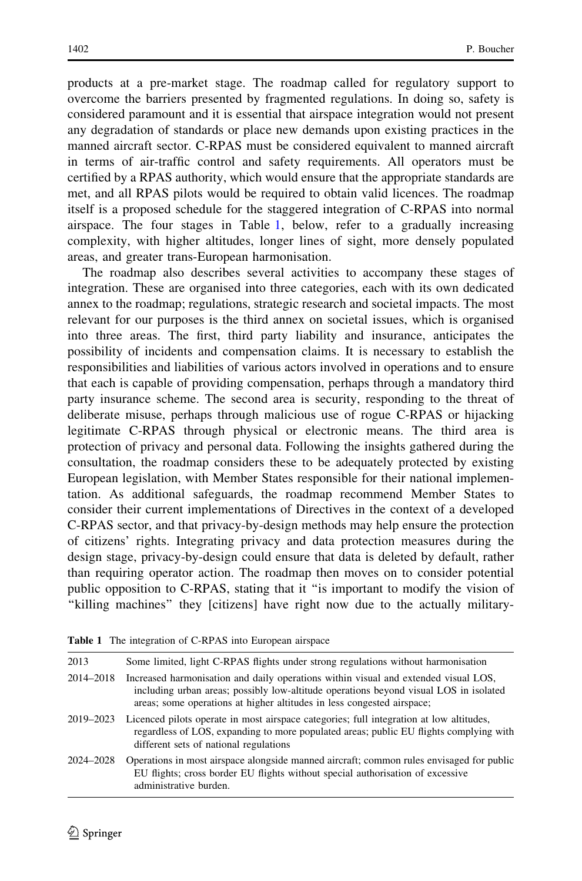products at a pre-market stage. The roadmap called for regulatory support to overcome the barriers presented by fragmented regulations. In doing so, safety is considered paramount and it is essential that airspace integration would not present any degradation of standards or place new demands upon existing practices in the manned aircraft sector. C-RPAS must be considered equivalent to manned aircraft in terms of air-traffic control and safety requirements. All operators must be certified by a RPAS authority, which would ensure that the appropriate standards are met, and all RPAS pilots would be required to obtain valid licences. The roadmap itself is a proposed schedule for the staggered integration of C-RPAS into normal airspace. The four stages in Table 1, below, refer to a gradually increasing complexity, with higher altitudes, longer lines of sight, more densely populated areas, and greater trans-European harmonisation.

The roadmap also describes several activities to accompany these stages of integration. These are organised into three categories, each with its own dedicated annex to the roadmap; regulations, strategic research and societal impacts. The most relevant for our purposes is the third annex on societal issues, which is organised into three areas. The first, third party liability and insurance, anticipates the possibility of incidents and compensation claims. It is necessary to establish the responsibilities and liabilities of various actors involved in operations and to ensure that each is capable of providing compensation, perhaps through a mandatory third party insurance scheme. The second area is security, responding to the threat of deliberate misuse, perhaps through malicious use of rogue C-RPAS or hijacking legitimate C-RPAS through physical or electronic means. The third area is protection of privacy and personal data. Following the insights gathered during the consultation, the roadmap considers these to be adequately protected by existing European legislation, with Member States responsible for their national implementation. As additional safeguards, the roadmap recommend Member States to consider their current implementations of Directives in the context of a developed C-RPAS sector, and that privacy-by-design methods may help ensure the protection of citizens' rights. Integrating privacy and data protection measures during the design stage, privacy-by-design could ensure that data is deleted by default, rather than requiring operator action. The roadmap then moves on to consider potential public opposition to C-RPAS, stating that it ''is important to modify the vision of ''killing machines'' they [citizens] have right now due to the actually military-

| 2013      | Some limited, light C-RPAS flights under strong regulations without harmonisation                                                                                                                                                                      |
|-----------|--------------------------------------------------------------------------------------------------------------------------------------------------------------------------------------------------------------------------------------------------------|
| 2014–2018 | Increased harmonisation and daily operations within visual and extended visual LOS,<br>including urban areas; possibly low-altitude operations beyond visual LOS in isolated<br>areas; some operations at higher altitudes in less congested airspace; |
| 2019-2023 | Licenced pilots operate in most airspace categories; full integration at low altitudes,<br>regardless of LOS, expanding to more populated areas; public EU flights complying with<br>different sets of national regulations                            |
| 2024-2028 | Operations in most airspace alongside manned aircraft; common rules envisaged for public<br>EU flights; cross border EU flights without special authorisation of excessive<br>administrative burden.                                                   |

Table 1 The integration of C-RPAS into European airspace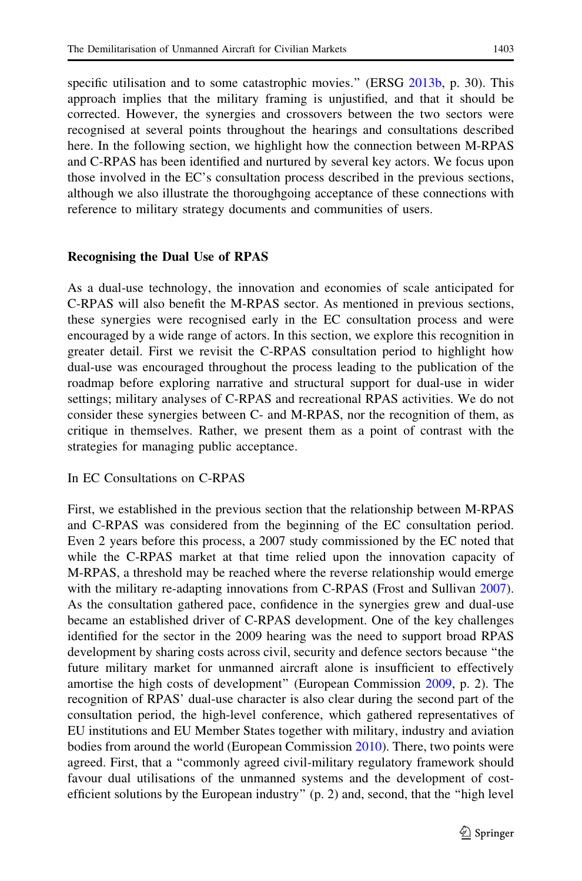<span id="page-10-0"></span>specific utilisation and to some catastrophic movies." (ERSG [2013b,](#page-18-0) p. 30). This approach implies that the military framing is unjustified, and that it should be corrected. However, the synergies and crossovers between the two sectors were recognised at several points throughout the hearings and consultations described here. In the following section, we highlight how the connection between M-RPAS and C-RPAS has been identified and nurtured by several key actors. We focus upon those involved in the EC's consultation process described in the previous sections, although we also illustrate the thoroughgoing acceptance of these connections with reference to military strategy documents and communities of users.

## Recognising the Dual Use of RPAS

As a dual-use technology, the innovation and economies of scale anticipated for C-RPAS will also benefit the M-RPAS sector. As mentioned in previous sections, these synergies were recognised early in the EC consultation process and were encouraged by a wide range of actors. In this section, we explore this recognition in greater detail. First we revisit the C-RPAS consultation period to highlight how dual-use was encouraged throughout the process leading to the publication of the roadmap before exploring narrative and structural support for dual-use in wider settings; military analyses of C-RPAS and recreational RPAS activities. We do not consider these synergies between C- and M-RPAS, nor the recognition of them, as critique in themselves. Rather, we present them as a point of contrast with the strategies for managing public acceptance.

## In EC Consultations on C-RPAS

First, we established in the previous section that the relationship between M-RPAS and C-RPAS was considered from the beginning of the EC consultation period. Even 2 years before this process, a 2007 study commissioned by the EC noted that while the C-RPAS market at that time relied upon the innovation capacity of M-RPAS, a threshold may be reached where the reverse relationship would emerge with the military re-adapting innovations from C-RPAS (Frost and Sullivan [2007\)](#page-18-0). As the consultation gathered pace, confidence in the synergies grew and dual-use became an established driver of C-RPAS development. One of the key challenges identified for the sector in the 2009 hearing was the need to support broad RPAS development by sharing costs across civil, security and defence sectors because ''the future military market for unmanned aircraft alone is insufficient to effectively amortise the high costs of development'' (European Commission [2009](#page-18-0), p. 2). The recognition of RPAS' dual-use character is also clear during the second part of the consultation period, the high-level conference, which gathered representatives of EU institutions and EU Member States together with military, industry and aviation bodies from around the world (European Commission [2010](#page-18-0)). There, two points were agreed. First, that a ''commonly agreed civil-military regulatory framework should favour dual utilisations of the unmanned systems and the development of costefficient solutions by the European industry'' (p. 2) and, second, that the ''high level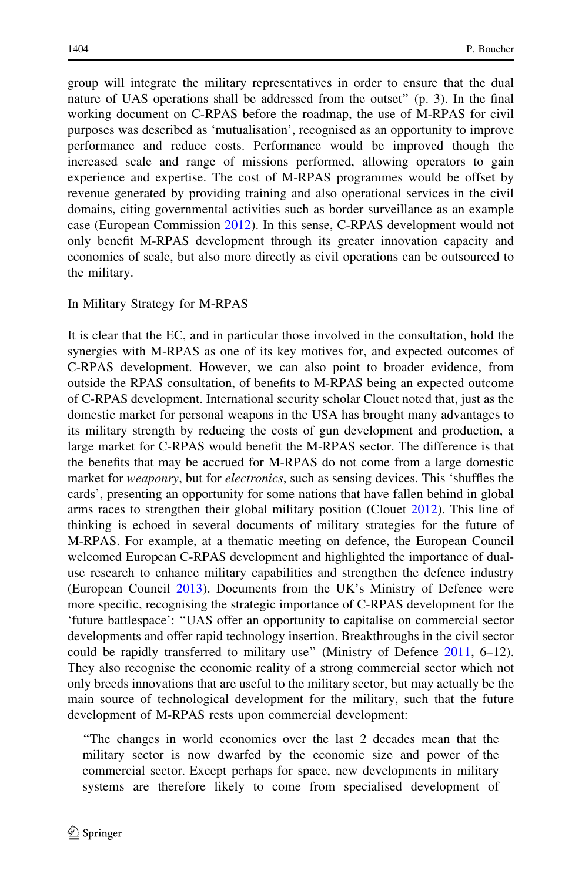group will integrate the military representatives in order to ensure that the dual nature of UAS operations shall be addressed from the outset'' (p. 3). In the final working document on C-RPAS before the roadmap, the use of M-RPAS for civil purposes was described as 'mutualisation', recognised as an opportunity to improve performance and reduce costs. Performance would be improved though the increased scale and range of missions performed, allowing operators to gain experience and expertise. The cost of M-RPAS programmes would be offset by revenue generated by providing training and also operational services in the civil domains, citing governmental activities such as border surveillance as an example case (European Commission [2012\)](#page-18-0). In this sense, C-RPAS development would not only benefit M-RPAS development through its greater innovation capacity and economies of scale, but also more directly as civil operations can be outsourced to the military.

## In Military Strategy for M-RPAS

It is clear that the EC, and in particular those involved in the consultation, hold the synergies with M-RPAS as one of its key motives for, and expected outcomes of C-RPAS development. However, we can also point to broader evidence, from outside the RPAS consultation, of benefits to M-RPAS being an expected outcome of C-RPAS development. International security scholar Clouet noted that, just as the domestic market for personal weapons in the USA has brought many advantages to its military strength by reducing the costs of gun development and production, a large market for C-RPAS would benefit the M-RPAS sector. The difference is that the benefits that may be accrued for M-RPAS do not come from a large domestic market for *weaponry*, but for *electronics*, such as sensing devices. This 'shuffles the cards', presenting an opportunity for some nations that have fallen behind in global arms races to strengthen their global military position (Clouet [2012\)](#page-18-0). This line of thinking is echoed in several documents of military strategies for the future of M-RPAS. For example, at a thematic meeting on defence, the European Council welcomed European C-RPAS development and highlighted the importance of dualuse research to enhance military capabilities and strengthen the defence industry (European Council [2013](#page-18-0)). Documents from the UK's Ministry of Defence were more specific, recognising the strategic importance of C-RPAS development for the 'future battlespace': ''UAS offer an opportunity to capitalise on commercial sector developments and offer rapid technology insertion. Breakthroughs in the civil sector could be rapidly transferred to military use'' (Ministry of Defence [2011,](#page-19-0) 6–12). They also recognise the economic reality of a strong commercial sector which not only breeds innovations that are useful to the military sector, but may actually be the main source of technological development for the military, such that the future development of M-RPAS rests upon commercial development:

''The changes in world economies over the last 2 decades mean that the military sector is now dwarfed by the economic size and power of the commercial sector. Except perhaps for space, new developments in military systems are therefore likely to come from specialised development of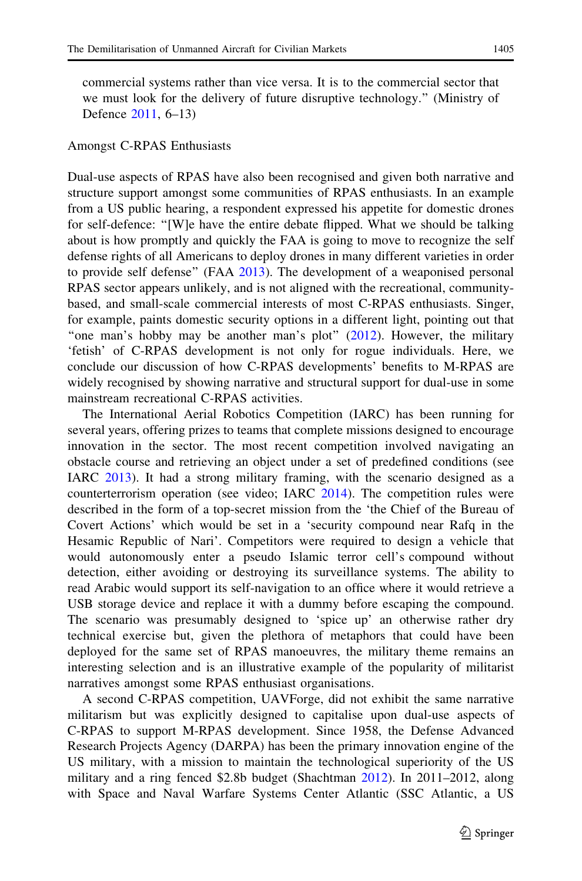commercial systems rather than vice versa. It is to the commercial sector that we must look for the delivery of future disruptive technology.'' (Ministry of Defence [2011,](#page-19-0) 6–13)

Amongst C-RPAS Enthusiasts

Dual-use aspects of RPAS have also been recognised and given both narrative and structure support amongst some communities of RPAS enthusiasts. In an example from a US public hearing, a respondent expressed his appetite for domestic drones for self-defence: ''[W]e have the entire debate flipped. What we should be talking about is how promptly and quickly the FAA is going to move to recognize the self defense rights of all Americans to deploy drones in many different varieties in order to provide self defense'' (FAA [2013](#page-18-0)). The development of a weaponised personal RPAS sector appears unlikely, and is not aligned with the recreational, communitybased, and small-scale commercial interests of most C-RPAS enthusiasts. Singer, for example, paints domestic security options in a different light, pointing out that "one man's hobby may be another man's plot"  $(2012)$  $(2012)$ . However, the military 'fetish' of C-RPAS development is not only for rogue individuals. Here, we conclude our discussion of how C-RPAS developments' benefits to M-RPAS are widely recognised by showing narrative and structural support for dual-use in some mainstream recreational C-RPAS activities.

The International Aerial Robotics Competition (IARC) has been running for several years, offering prizes to teams that complete missions designed to encourage innovation in the sector. The most recent competition involved navigating an obstacle course and retrieving an object under a set of predefined conditions (see IARC [2013](#page-19-0)). It had a strong military framing, with the scenario designed as a counterterrorism operation (see video; IARC [2014\)](#page-19-0). The competition rules were described in the form of a top-secret mission from the 'the Chief of the Bureau of Covert Actions' which would be set in a 'security compound near Rafq in the Hesamic Republic of Nari'. Competitors were required to design a vehicle that would autonomously enter a pseudo Islamic terror cell's compound without detection, either avoiding or destroying its surveillance systems. The ability to read Arabic would support its self-navigation to an office where it would retrieve a USB storage device and replace it with a dummy before escaping the compound. The scenario was presumably designed to 'spice up' an otherwise rather dry technical exercise but, given the plethora of metaphors that could have been deployed for the same set of RPAS manoeuvres, the military theme remains an interesting selection and is an illustrative example of the popularity of militarist narratives amongst some RPAS enthusiast organisations.

A second C-RPAS competition, UAVForge, did not exhibit the same narrative militarism but was explicitly designed to capitalise upon dual-use aspects of C-RPAS to support M-RPAS development. Since 1958, the Defense Advanced Research Projects Agency (DARPA) has been the primary innovation engine of the US military, with a mission to maintain the technological superiority of the US military and a ring fenced \$2.8b budget (Shachtman [2012\)](#page-19-0). In 2011–2012, along with Space and Naval Warfare Systems Center Atlantic (SSC Atlantic, a US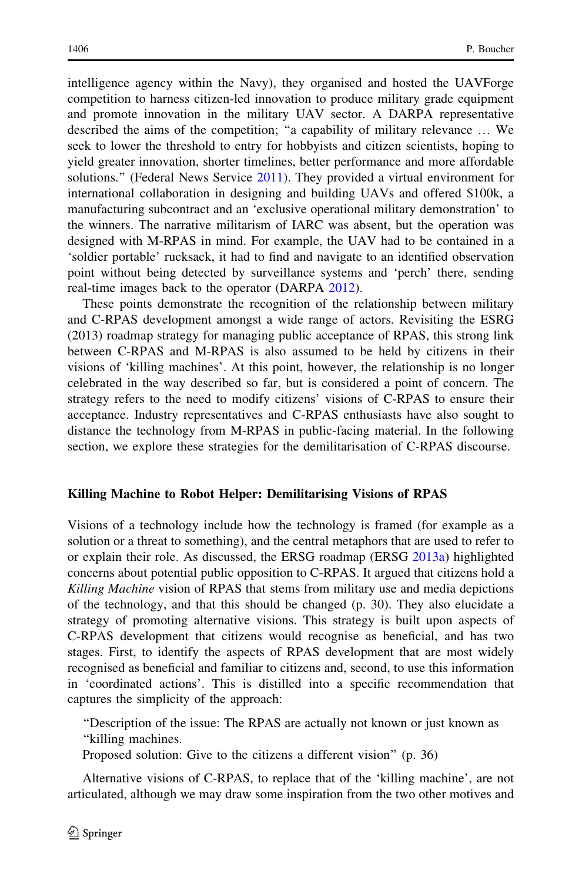<span id="page-13-0"></span>intelligence agency within the Navy), they organised and hosted the UAVForge competition to harness citizen-led innovation to produce military grade equipment and promote innovation in the military UAV sector. A DARPA representative described the aims of the competition; ''a capability of military relevance … We seek to lower the threshold to entry for hobbyists and citizen scientists, hoping to yield greater innovation, shorter timelines, better performance and more affordable solutions.'' (Federal News Service [2011](#page-18-0)). They provided a virtual environment for international collaboration in designing and building UAVs and offered \$100k, a manufacturing subcontract and an 'exclusive operational military demonstration' to the winners. The narrative militarism of IARC was absent, but the operation was designed with M-RPAS in mind. For example, the UAV had to be contained in a 'soldier portable' rucksack, it had to find and navigate to an identified observation point without being detected by surveillance systems and 'perch' there, sending real-time images back to the operator (DARPA [2012](#page-18-0)).

These points demonstrate the recognition of the relationship between military and C-RPAS development amongst a wide range of actors. Revisiting the ESRG (2013) roadmap strategy for managing public acceptance of RPAS, this strong link between C-RPAS and M-RPAS is also assumed to be held by citizens in their visions of 'killing machines'. At this point, however, the relationship is no longer celebrated in the way described so far, but is considered a point of concern. The strategy refers to the need to modify citizens' visions of C-RPAS to ensure their acceptance. Industry representatives and C-RPAS enthusiasts have also sought to distance the technology from M-RPAS in public-facing material. In the following section, we explore these strategies for the demilitarisation of C-RPAS discourse.

## Killing Machine to Robot Helper: Demilitarising Visions of RPAS

Visions of a technology include how the technology is framed (for example as a solution or a threat to something), and the central metaphors that are used to refer to or explain their role. As discussed, the ERSG roadmap (ERSG [2013a](#page-18-0)) highlighted concerns about potential public opposition to C-RPAS. It argued that citizens hold a Killing Machine vision of RPAS that stems from military use and media depictions of the technology, and that this should be changed (p. 30). They also elucidate a strategy of promoting alternative visions. This strategy is built upon aspects of C-RPAS development that citizens would recognise as beneficial, and has two stages. First, to identify the aspects of RPAS development that are most widely recognised as beneficial and familiar to citizens and, second, to use this information in 'coordinated actions'. This is distilled into a specific recommendation that captures the simplicity of the approach:

''Description of the issue: The RPAS are actually not known or just known as ''killing machines.

Proposed solution: Give to the citizens a different vision'' (p. 36)

Alternative visions of C-RPAS, to replace that of the 'killing machine', are not articulated, although we may draw some inspiration from the two other motives and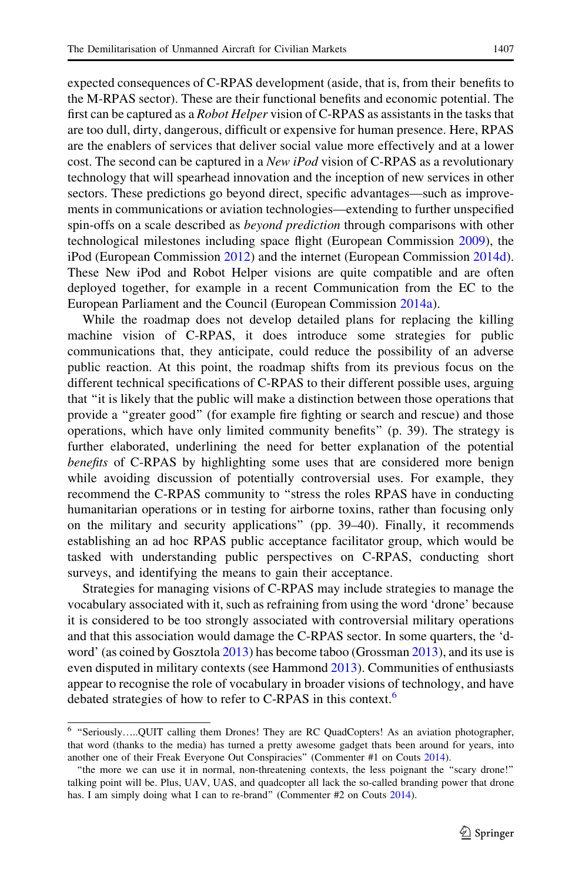expected consequences of C-RPAS development (aside, that is, from their benefits to the M-RPAS sector). These are their functional benefits and economic potential. The first can be captured as a *Robot Helper* vision of C-RPAS as assistants in the tasks that are too dull, dirty, dangerous, difficult or expensive for human presence. Here, RPAS are the enablers of services that deliver social value more effectively and at a lower cost. The second can be captured in a *New iPod* vision of C-RPAS as a revolutionary technology that will spearhead innovation and the inception of new services in other sectors. These predictions go beyond direct, specific advantages—such as improvements in communications or aviation technologies—extending to further unspecified spin-offs on a scale described as *beyond prediction* through comparisons with other technological milestones including space flight (European Commission [2009\)](#page-18-0), the iPod (European Commission [2012](#page-18-0)) and the internet (European Commission [2014d\)](#page-18-0). These New iPod and Robot Helper visions are quite compatible and are often deployed together, for example in a recent Communication from the EC to the European Parliament and the Council (European Commission [2014a\)](#page-18-0).

While the roadmap does not develop detailed plans for replacing the killing machine vision of C-RPAS, it does introduce some strategies for public communications that, they anticipate, could reduce the possibility of an adverse public reaction. At this point, the roadmap shifts from its previous focus on the different technical specifications of C-RPAS to their different possible uses, arguing that ''it is likely that the public will make a distinction between those operations that provide a ''greater good'' (for example fire fighting or search and rescue) and those operations, which have only limited community benefits'' (p. 39). The strategy is further elaborated, underlining the need for better explanation of the potential benefits of C-RPAS by highlighting some uses that are considered more benign while avoiding discussion of potentially controversial uses. For example, they recommend the C-RPAS community to ''stress the roles RPAS have in conducting humanitarian operations or in testing for airborne toxins, rather than focusing only on the military and security applications'' (pp. 39–40). Finally, it recommends establishing an ad hoc RPAS public acceptance facilitator group, which would be tasked with understanding public perspectives on C-RPAS, conducting short surveys, and identifying the means to gain their acceptance.

Strategies for managing visions of C-RPAS may include strategies to manage the vocabulary associated with it, such as refraining from using the word 'drone' because it is considered to be too strongly associated with controversial military operations and that this association would damage the C-RPAS sector. In some quarters, the 'dword' (as coined by Gosztola [2013](#page-19-0)) has become taboo (Grossman [2013](#page-19-0)), and its use is even disputed in military contexts (see Hammond [2013\)](#page-19-0). Communities of enthusiasts appear to recognise the role of vocabulary in broader visions of technology, and have debated strategies of how to refer to C-RPAS in this context.<sup>6</sup>

<sup>&</sup>lt;sup>6</sup> "Seriously.....QUIT calling them Drones! They are RC QuadCopters! As an aviation photographer, that word (thanks to the media) has turned a pretty awesome gadget thats been around for years, into another one of their Freak Everyone Out Conspiracies'' (Commenter #1 on Couts [2014](#page-18-0)).

<sup>&#</sup>x27;'the more we can use it in normal, non-threatening contexts, the less poignant the ''scary drone!'' talking point will be. Plus, UAV, UAS, and quadcopter all lack the so-called branding power that drone has. I am simply doing what I can to re-brand" (Commenter #2 on Couts [2014\)](#page-18-0).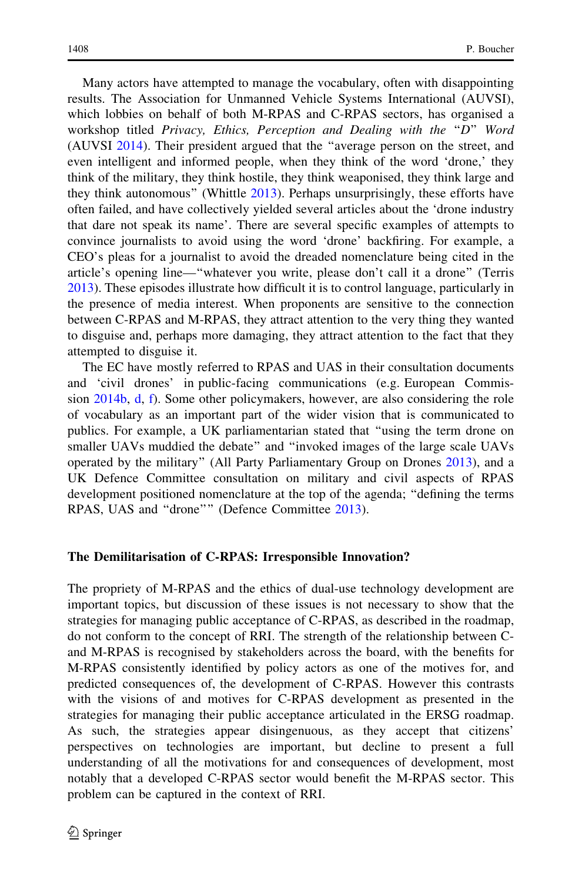Many actors have attempted to manage the vocabulary, often with disappointing results. The Association for Unmanned Vehicle Systems International (AUVSI), which lobbies on behalf of both M-RPAS and C-RPAS sectors, has organised a workshop titled Privacy, Ethics, Perception and Dealing with the "D" Word (AUVSI [2014](#page-17-0)). Their president argued that the ''average person on the street, and even intelligent and informed people, when they think of the word 'drone,' they think of the military, they think hostile, they think weaponised, they think large and they think autonomous'' (Whittle [2013](#page-19-0)). Perhaps unsurprisingly, these efforts have often failed, and have collectively yielded several articles about the 'drone industry that dare not speak its name'. There are several specific examples of attempts to convince journalists to avoid using the word 'drone' backfiring. For example, a CEO's pleas for a journalist to avoid the dreaded nomenclature being cited in the article's opening line—''whatever you write, please don't call it a drone'' (Terris [2013\)](#page-19-0). These episodes illustrate how difficult it is to control language, particularly in the presence of media interest. When proponents are sensitive to the connection between C-RPAS and M-RPAS, they attract attention to the very thing they wanted to disguise and, perhaps more damaging, they attract attention to the fact that they attempted to disguise it.

The EC have mostly referred to RPAS and UAS in their consultation documents and 'civil drones' in public-facing communications (e.g. European Commission [2014b,](#page-18-0) [d,](#page-18-0) [f\)](#page-18-0). Some other policymakers, however, are also considering the role of vocabulary as an important part of the wider vision that is communicated to publics. For example, a UK parliamentarian stated that ''using the term drone on smaller UAVs muddied the debate'' and ''invoked images of the large scale UAVs operated by the military'' (All Party Parliamentary Group on Drones [2013\)](#page-17-0), and a UK Defence Committee consultation on military and civil aspects of RPAS development positioned nomenclature at the top of the agenda; ''defining the terms RPAS, UAS and ''drone'''' (Defence Committee [2013](#page-18-0)).

## The Demilitarisation of C-RPAS: Irresponsible Innovation?

The propriety of M-RPAS and the ethics of dual-use technology development are important topics, but discussion of these issues is not necessary to show that the strategies for managing public acceptance of C-RPAS, as described in the roadmap, do not conform to the concept of RRI. The strength of the relationship between Cand M-RPAS is recognised by stakeholders across the board, with the benefits for M-RPAS consistently identified by policy actors as one of the motives for, and predicted consequences of, the development of C-RPAS. However this contrasts with the visions of and motives for C-RPAS development as presented in the strategies for managing their public acceptance articulated in the ERSG roadmap. As such, the strategies appear disingenuous, as they accept that citizens' perspectives on technologies are important, but decline to present a full understanding of all the motivations for and consequences of development, most notably that a developed C-RPAS sector would benefit the M-RPAS sector. This problem can be captured in the context of RRI.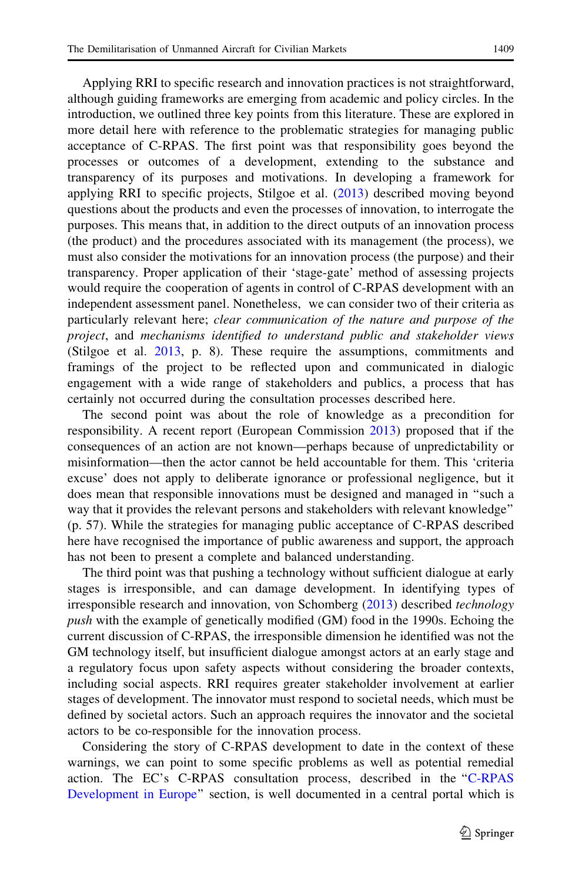Applying RRI to specific research and innovation practices is not straightforward, although guiding frameworks are emerging from academic and policy circles. In the introduction, we outlined three key points from this literature. These are explored in more detail here with reference to the problematic strategies for managing public acceptance of C-RPAS. The first point was that responsibility goes beyond the processes or outcomes of a development, extending to the substance and transparency of its purposes and motivations. In developing a framework for applying RRI to specific projects, Stilgoe et al. [\(2013](#page-19-0)) described moving beyond questions about the products and even the processes of innovation, to interrogate the purposes. This means that, in addition to the direct outputs of an innovation process (the product) and the procedures associated with its management (the process), we must also consider the motivations for an innovation process (the purpose) and their transparency. Proper application of their 'stage-gate' method of assessing projects would require the cooperation of agents in control of C-RPAS development with an independent assessment panel. Nonetheless, we can consider two of their criteria as particularly relevant here; clear communication of the nature and purpose of the project, and mechanisms identified to understand public and stakeholder views (Stilgoe et al. [2013,](#page-19-0) p. 8). These require the assumptions, commitments and framings of the project to be reflected upon and communicated in dialogic engagement with a wide range of stakeholders and publics, a process that has certainly not occurred during the consultation processes described here.

The second point was about the role of knowledge as a precondition for responsibility. A recent report (European Commission [2013](#page-18-0)) proposed that if the consequences of an action are not known—perhaps because of unpredictability or misinformation—then the actor cannot be held accountable for them. This 'criteria excuse' does not apply to deliberate ignorance or professional negligence, but it does mean that responsible innovations must be designed and managed in ''such a way that it provides the relevant persons and stakeholders with relevant knowledge'' (p. 57). While the strategies for managing public acceptance of C-RPAS described here have recognised the importance of public awareness and support, the approach has not been to present a complete and balanced understanding.

The third point was that pushing a technology without sufficient dialogue at early stages is irresponsible, and can damage development. In identifying types of irresponsible research and innovation, von Schomberg ([2013\)](#page-19-0) described technology push with the example of genetically modified (GM) food in the 1990s. Echoing the current discussion of C-RPAS, the irresponsible dimension he identified was not the GM technology itself, but insufficient dialogue amongst actors at an early stage and a regulatory focus upon safety aspects without considering the broader contexts, including social aspects. RRI requires greater stakeholder involvement at earlier stages of development. The innovator must respond to societal needs, which must be defined by societal actors. Such an approach requires the innovator and the societal actors to be co-responsible for the innovation process.

Considering the story of C-RPAS development to date in the context of these warnings, we can point to some specific problems as well as potential remedial action. The EC's C-RPAS consultation process, described in the ''[C-RPAS](#page-5-0) [Development in Europe'](#page-5-0)' section, is well documented in a central portal which is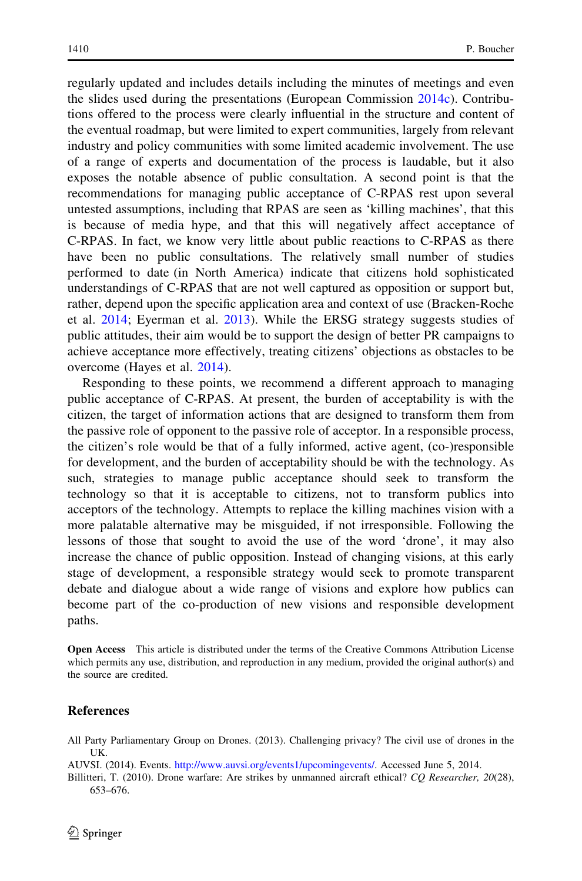<span id="page-17-0"></span>regularly updated and includes details including the minutes of meetings and even the slides used during the presentations (European Commission [2014c](#page-18-0)). Contributions offered to the process were clearly influential in the structure and content of the eventual roadmap, but were limited to expert communities, largely from relevant industry and policy communities with some limited academic involvement. The use of a range of experts and documentation of the process is laudable, but it also exposes the notable absence of public consultation. A second point is that the recommendations for managing public acceptance of C-RPAS rest upon several untested assumptions, including that RPAS are seen as 'killing machines', that this is because of media hype, and that this will negatively affect acceptance of C-RPAS. In fact, we know very little about public reactions to C-RPAS as there have been no public consultations. The relatively small number of studies performed to date (in North America) indicate that citizens hold sophisticated understandings of C-RPAS that are not well captured as opposition or support but, rather, depend upon the specific application area and context of use (Bracken-Roche et al. [2014](#page-18-0); Eyerman et al. [2013](#page-18-0)). While the ERSG strategy suggests studies of public attitudes, their aim would be to support the design of better PR campaigns to achieve acceptance more effectively, treating citizens' objections as obstacles to be overcome (Hayes et al. [2014](#page-19-0)).

Responding to these points, we recommend a different approach to managing public acceptance of C-RPAS. At present, the burden of acceptability is with the citizen, the target of information actions that are designed to transform them from the passive role of opponent to the passive role of acceptor. In a responsible process, the citizen's role would be that of a fully informed, active agent, (co-)responsible for development, and the burden of acceptability should be with the technology. As such, strategies to manage public acceptance should seek to transform the technology so that it is acceptable to citizens, not to transform publics into acceptors of the technology. Attempts to replace the killing machines vision with a more palatable alternative may be misguided, if not irresponsible. Following the lessons of those that sought to avoid the use of the word 'drone', it may also increase the chance of public opposition. Instead of changing visions, at this early stage of development, a responsible strategy would seek to promote transparent debate and dialogue about a wide range of visions and explore how publics can become part of the co-production of new visions and responsible development paths.

Open Access This article is distributed under the terms of the Creative Commons Attribution License which permits any use, distribution, and reproduction in any medium, provided the original author(s) and the source are credited.

### References

AUVSI. (2014). Events. [http://www.auvsi.org/events1/upcomingevents/.](http://www.auvsi.org/events1/upcomingevents/) Accessed June 5, 2014.

Billitteri, T. (2010). Drone warfare: Are strikes by unmanned aircraft ethical? CO Researcher, 20(28), 653–676.

All Party Parliamentary Group on Drones. (2013). Challenging privacy? The civil use of drones in the UK.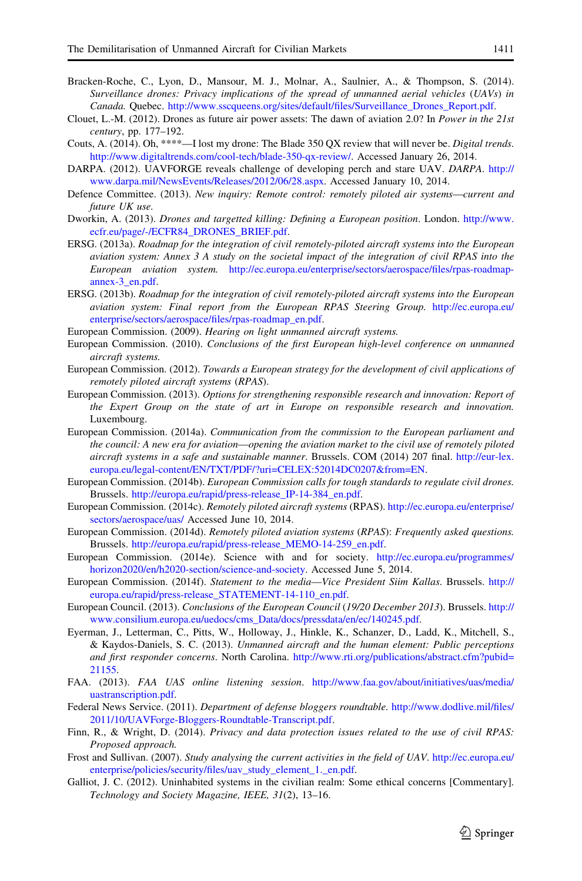- <span id="page-18-0"></span>Bracken-Roche, C., Lyon, D., Mansour, M. J., Molnar, A., Saulnier, A., & Thompson, S. (2014). Surveillance drones: Privacy implications of the spread of unmanned aerial vehicles (UAVs) in Canada. Quebec. [http://www.sscqueens.org/sites/default/files/Surveillance\\_Drones\\_Report.pdf](http://www.sscqueens.org/sites/default/files/Surveillance_Drones_Report.pdf).
- Clouet, L.-M. (2012). Drones as future air power assets: The dawn of aviation 2.0? In Power in the 21st century, pp. 177–192.
- Couts, A. (2014). Oh, \*\*\*\*—I lost my drone: The Blade 350 QX review that will never be. Digital trends. <http://www.digitaltrends.com/cool-tech/blade-350-qx-review/>. Accessed January 26, 2014.
- DARPA. (2012). UAVFORGE reveals challenge of developing perch and stare UAV. DARPA. [http://](http://www.darpa.mil/NewsEvents/Releases/2012/06/28.aspx) [www.darpa.mil/NewsEvents/Releases/2012/06/28.aspx.](http://www.darpa.mil/NewsEvents/Releases/2012/06/28.aspx) Accessed January 10, 2014.
- Defence Committee. (2013). New inquiry: Remote control: remotely piloted air systems—current and future UK use.
- Dworkin, A. (2013). Drones and targetted killing: Defining a European position. London. [http://www.](http://www.ecfr.eu/page/-/ECFR84_DRONES_BRIEF.pdf) [ecfr.eu/page/-/ECFR84\\_DRONES\\_BRIEF.pdf.](http://www.ecfr.eu/page/-/ECFR84_DRONES_BRIEF.pdf)
- ERSG. (2013a). Roadmap for the integration of civil remotely-piloted aircraft systems into the European aviation system: Annex 3 A study on the societal impact of the integration of civil RPAS into the European aviation system. [http://ec.europa.eu/enterprise/sectors/aerospace/files/rpas-roadmap](http://ec.europa.eu/enterprise/sectors/aerospace/files/rpas-roadmap-annex-3_en.pdf)[annex-3\\_en.pdf.](http://ec.europa.eu/enterprise/sectors/aerospace/files/rpas-roadmap-annex-3_en.pdf)
- ERSG. (2013b). Roadmap for the integration of civil remotely-piloted aircraft systems into the European aviation system: Final report from the European RPAS Steering Group. [http://ec.europa.eu/](http://ec.europa.eu/enterprise/sectors/aerospace/files/rpas-roadmap_en.pdf) [enterprise/sectors/aerospace/files/rpas-roadmap\\_en.pdf](http://ec.europa.eu/enterprise/sectors/aerospace/files/rpas-roadmap_en.pdf).
- European Commission. (2009). Hearing on light unmanned aircraft systems.
- European Commission. (2010). Conclusions of the first European high-level conference on unmanned aircraft systems.
- European Commission. (2012). Towards a European strategy for the development of civil applications of remotely piloted aircraft systems (RPAS).
- European Commission. (2013). Options for strengthening responsible research and innovation: Report of the Expert Group on the state of art in Europe on responsible research and innovation. Luxembourg.
- European Commission. (2014a). Communication from the commission to the European parliament and the council: A new era for aviation—opening the aviation market to the civil use of remotely piloted aircraft systems in a safe and sustainable manner. Brussels. COM (2014) 207 final. [http://eur-lex.](http://eur-lex.europa.eu/legal-content/EN/TXT/PDF/?uri=CELEX:52014DC0207&from=EN) [europa.eu/legal-content/EN/TXT/PDF/?uri=CELEX:52014DC0207&from=EN.](http://eur-lex.europa.eu/legal-content/EN/TXT/PDF/?uri=CELEX:52014DC0207&from=EN)
- European Commission. (2014b). European Commission calls for tough standards to regulate civil drones. Brussels. [http://europa.eu/rapid/press-release\\_IP-14-384\\_en.pdf](http://europa.eu/rapid/press-release_IP-14-384_en.pdf).
- European Commission. (2014c). Remotely piloted aircraft systems (RPAS). [http://ec.europa.eu/enterprise/](http://ec.europa.eu/enterprise/sectors/aerospace/uas/) [sectors/aerospace/uas/](http://ec.europa.eu/enterprise/sectors/aerospace/uas/) Accessed June 10, 2014.
- European Commission. (2014d). Remotely piloted aviation systems (RPAS): Frequently asked questions. Brussels. [http://europa.eu/rapid/press-release\\_MEMO-14-259\\_en.pdf.](http://europa.eu/rapid/press-release_MEMO-14-259_en.pdf)
- European Commission. (2014e). Science with and for society. [http://ec.europa.eu/programmes/](http://ec.europa.eu/programmes/horizon2020/en/h2020-section/science-and-society) [horizon2020/en/h2020-section/science-and-society.](http://ec.europa.eu/programmes/horizon2020/en/h2020-section/science-and-society) Accessed June 5, 2014.
- European Commission. (2014f). Statement to the media—Vice President Siim Kallas. Brussels. [http://](http://europa.eu/rapid/press-release_STATEMENT-14-110_en.pdf) [europa.eu/rapid/press-release\\_STATEMENT-14-110\\_en.pdf.](http://europa.eu/rapid/press-release_STATEMENT-14-110_en.pdf)
- European Council. (2013). Conclusions of the European Council (19/20 December 2013). Brussels. [http://](http://www.consilium.europa.eu/uedocs/cms_Data/docs/pressdata/en/ec/140245.pdf) [www.consilium.europa.eu/uedocs/cms\\_Data/docs/pressdata/en/ec/140245.pdf.](http://www.consilium.europa.eu/uedocs/cms_Data/docs/pressdata/en/ec/140245.pdf)
- Eyerman, J., Letterman, C., Pitts, W., Holloway, J., Hinkle, K., Schanzer, D., Ladd, K., Mitchell, S., & Kaydos-Daniels, S. C. (2013). Unmanned aircraft and the human element: Public perceptions and first responder concerns. North Carolina. [http://www.rti.org/publications/abstract.cfm?pubid=](http://www.rti.org/publications/abstract.cfm?pubid=21155) [21155.](http://www.rti.org/publications/abstract.cfm?pubid=21155)
- FAA. (2013). FAA UAS online listening session. [http://www.faa.gov/about/initiatives/uas/media/](http://www.faa.gov/about/initiatives/uas/media/uastranscription.pdf) [uastranscription.pdf.](http://www.faa.gov/about/initiatives/uas/media/uastranscription.pdf)
- Federal News Service. (2011). Department of defense bloggers roundtable. [http://www.dodlive.mil/files/](http://www.dodlive.mil/files/2011/10/UAVForge-Bloggers-Roundtable-Transcript.pdf) [2011/10/UAVForge-Bloggers-Roundtable-Transcript.pdf.](http://www.dodlive.mil/files/2011/10/UAVForge-Bloggers-Roundtable-Transcript.pdf)
- Finn, R., & Wright, D. (2014). Privacy and data protection issues related to the use of civil RPAS: Proposed approach.
- Frost and Sullivan. (2007). Study analysing the current activities in the field of UAV. [http://ec.europa.eu/](http://ec.europa.eu/enterprise/policies/security/files/uav_study_element_1._en.pdf) [enterprise/policies/security/files/uav\\_study\\_element\\_1.\\_en.pdf.](http://ec.europa.eu/enterprise/policies/security/files/uav_study_element_1._en.pdf)
- Galliot, J. C. (2012). Uninhabited systems in the civilian realm: Some ethical concerns [Commentary]. Technology and Society Magazine, IEEE, 31(2), 13–16.